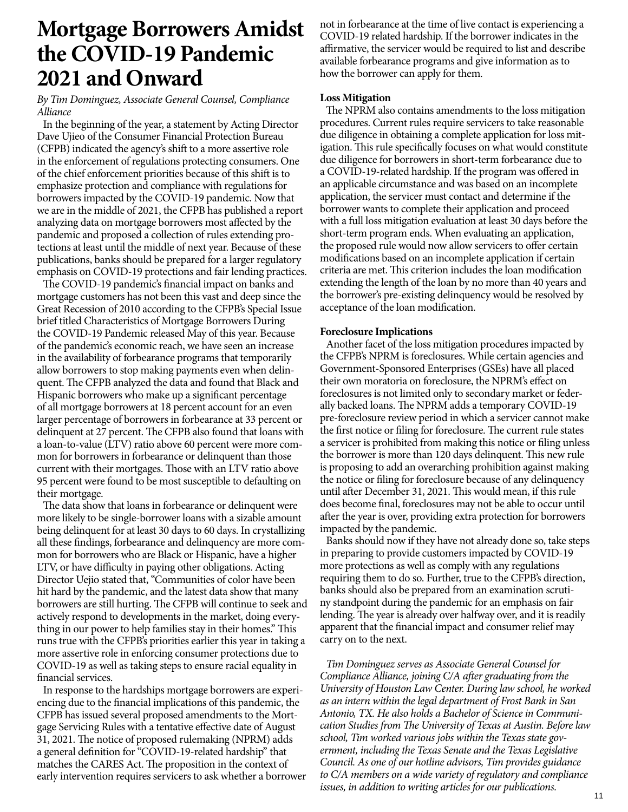## **Mortgage Borrowers Amidst the COVID-19 Pandemic 2021 and Onward**

### *By Tim Dominguez, Associate General Counsel, Compliance Alliance*

In the beginning of the year, a statement by Acting Director Dave Ujieo of the Consumer Financial Protection Bureau (CFPB) indicated the agency's shift to a more assertive role in the enforcement of regulations protecting consumers. One of the chief enforcement priorities because of this shift is to emphasize protection and compliance with regulations for borrowers impacted by the COVID-19 pandemic. Now that we are in the middle of 2021, the CFPB has published a report analyzing data on mortgage borrowers most affected by the pandemic and proposed a collection of rules extending protections at least until the middle of next year. Because of these publications, banks should be prepared for a larger regulatory emphasis on COVID-19 protections and fair lending practices.

The COVID-19 pandemic's financial impact on banks and mortgage customers has not been this vast and deep since the Great Recession of 2010 according to the CFPB's Special Issue brief titled Characteristics of Mortgage Borrowers During the COVID-19 Pandemic released May of this year. Because of the pandemic's economic reach, we have seen an increase in the availability of forbearance programs that temporarily allow borrowers to stop making payments even when delinquent. The CFPB analyzed the data and found that Black and Hispanic borrowers who make up a significant percentage of all mortgage borrowers at 18 percent account for an even larger percentage of borrowers in forbearance at 33 percent or delinquent at 27 percent. The CFPB also found that loans with a loan-to-value (LTV) ratio above 60 percent were more common for borrowers in forbearance or delinquent than those current with their mortgages. Those with an LTV ratio above 95 percent were found to be most susceptible to defaulting on their mortgage.

The data show that loans in forbearance or delinquent were more likely to be single-borrower loans with a sizable amount being delinquent for at least 30 days to 60 days. In crystallizing all these findings, forbearance and delinquency are more common for borrowers who are Black or Hispanic, have a higher LTV, or have difficulty in paying other obligations. Acting Director Uejio stated that, "Communities of color have been hit hard by the pandemic, and the latest data show that many borrowers are still hurting. The CFPB will continue to seek and actively respond to developments in the market, doing everything in our power to help families stay in their homes." This runs true with the CFPB's priorities earlier this year in taking a more assertive role in enforcing consumer protections due to COVID-19 as well as taking steps to ensure racial equality in financial services.

In response to the hardships mortgage borrowers are experiencing due to the financial implications of this pandemic, the CFPB has issued several proposed amendments to the Mortgage Servicing Rules with a tentative effective date of August 31, 2021. The notice of proposed rulemaking (NPRM) adds a general definition for "COVID-19-related hardship" that matches the CARES Act. The proposition in the context of early intervention requires servicers to ask whether a borrower not in forbearance at the time of live contact is experiencing a COVID-19 related hardship. If the borrower indicates in the affirmative, the servicer would be required to list and describe available forbearance programs and give information as to how the borrower can apply for them.

#### **Loss Mitigation**

The NPRM also contains amendments to the loss mitigation procedures. Current rules require servicers to take reasonable due diligence in obtaining a complete application for loss mitigation. This rule specifically focuses on what would constitute due diligence for borrowers in short-term forbearance due to a COVID-19-related hardship. If the program was offered in an applicable circumstance and was based on an incomplete application, the servicer must contact and determine if the borrower wants to complete their application and proceed with a full loss mitigation evaluation at least 30 days before the short-term program ends. When evaluating an application, the proposed rule would now allow servicers to offer certain modifications based on an incomplete application if certain criteria are met. This criterion includes the loan modification extending the length of the loan by no more than 40 years and the borrower's pre-existing delinquency would be resolved by acceptance of the loan modification.

#### **Foreclosure Implications**

Another facet of the loss mitigation procedures impacted by the CFPB's NPRM is foreclosures. While certain agencies and Government-Sponsored Enterprises (GSEs) have all placed their own moratoria on foreclosure, the NPRM's effect on foreclosures is not limited only to secondary market or federally backed loans. The NPRM adds a temporary COVID-19 pre-foreclosure review period in which a servicer cannot make the first notice or filing for foreclosure. The current rule states a servicer is prohibited from making this notice or filing unless the borrower is more than 120 days delinquent. This new rule is proposing to add an overarching prohibition against making the notice or filing for foreclosure because of any delinquency until after December 31, 2021. This would mean, if this rule does become final, foreclosures may not be able to occur until after the year is over, providing extra protection for borrowers impacted by the pandemic.

Banks should now if they have not already done so, take steps in preparing to provide customers impacted by COVID-19 more protections as well as comply with any regulations requiring them to do so. Further, true to the CFPB's direction, banks should also be prepared from an examination scrutiny standpoint during the pandemic for an emphasis on fair lending. The year is already over halfway over, and it is readily apparent that the financial impact and consumer relief may carry on to the next.

*Tim Dominguez serves as Associate General Counsel for Compliance Alliance, joining C/A after graduating from the University of Houston Law Center. During law school, he worked as an intern within the legal department of Frost Bank in San Antonio, TX. He also holds a Bachelor of Science in Communication Studies from The University of Texas at Austin. Before law school, Tim worked various jobs within the Texas state government, including the Texas Senate and the Texas Legislative Council. As one of our hotline advisors, Tim provides guidance to C/A members on a wide variety of regulatory and compliance issues, in addition to writing articles for our publications.*